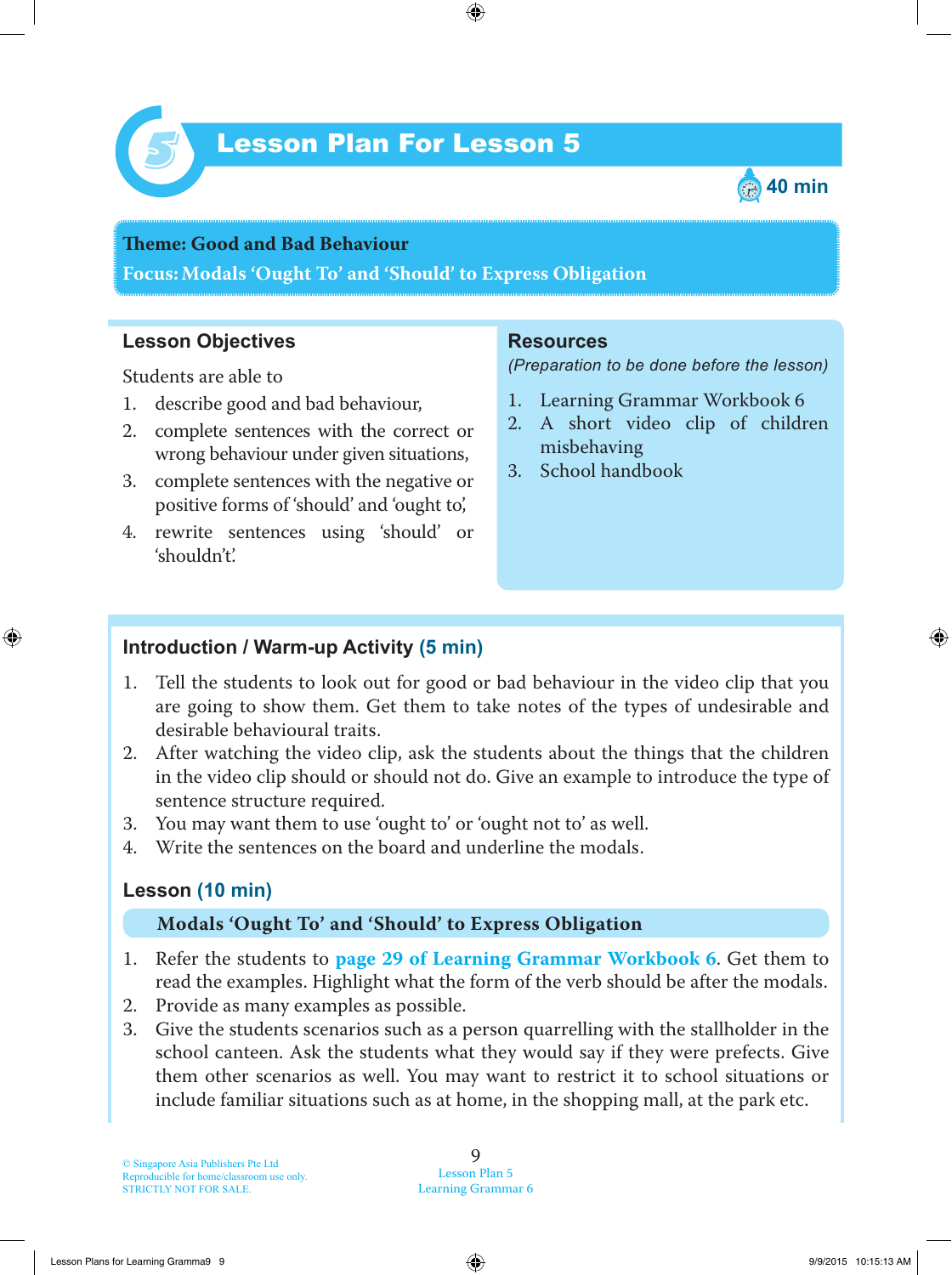



## **Teme : Good and Bad Behaviour Focus: Modals 'Ought To' and 'Should' to Express Obligation**

#### **Lesson Objectives**

Students are able to

- 1. describe good and bad behaviour,
- 2. complete sentences with the correct or wrong behaviour under given situations,
- 3. complete sentences with the negative or positive forms of 'should' and 'ought to',
- 4. rewrite sentences using 'should' or 'shouldn't'.

#### **Resources**

*(Preparation to be done before the lesson)*

- 1. Learning Grammar Workbook 6
- 2. A short video clip of children misbehaving
- 3. School handbook

### **Introduction / Warm-up Activity (5 min)**

- 1. Tell the students to look out for good or bad behaviour in the video clip that you are going to show them. Get them to take notes of the types of undesirable and desirable behavioural traits.
- 2. After watching the video clip, ask the students about the things that the children in the video clip should or should not do. Give an example to introduce the type of sentence structure required.
- 3. You may want them to use 'ought to' or 'ought not to' as well.
- 4. Write the sentences on the board and underline the modals.

### **Lesson (10 min)**

#### **Modals 'Ought To' and 'Should' to Express Obligation**

- 1. Refer the students to **page 29 of Learning Grammar Workbook 6**. Get them to read the examples. Highlight what the form of the verb should be after the modals.
- 2. Provide as many examples as possible.
- 3. Give the students scenarios such as a person quarrelling with the stallholder in the school canteen. Ask the students what they would say if they were prefects. Give them other scenarios as well. You may want to restrict it to school situations or include familiar situations such as at home, in the shopping mall, at the park etc.